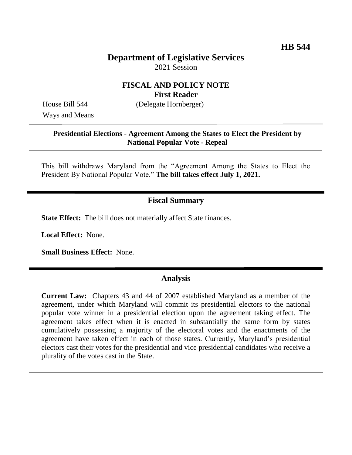# **Department of Legislative Services** 2021 Session

### **FISCAL AND POLICY NOTE First Reader**

Ways and Means

House Bill 544 (Delegate Hornberger)

#### **Presidential Elections - Agreement Among the States to Elect the President by National Popular Vote - Repeal**

This bill withdraws Maryland from the "Agreement Among the States to Elect the President By National Popular Vote." **The bill takes effect July 1, 2021.**

# **Fiscal Summary**

**State Effect:** The bill does not materially affect State finances.

**Local Effect:** None.

**Small Business Effect:** None.

### **Analysis**

**Current Law:** Chapters 43 and 44 of 2007 established Maryland as a member of the agreement, under which Maryland will commit its presidential electors to the national popular vote winner in a presidential election upon the agreement taking effect. The agreement takes effect when it is enacted in substantially the same form by states cumulatively possessing a majority of the electoral votes and the enactments of the agreement have taken effect in each of those states. Currently, Maryland's presidential electors cast their votes for the presidential and vice presidential candidates who receive a plurality of the votes cast in the State.